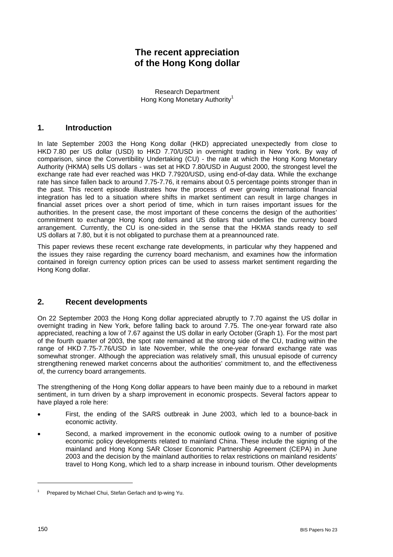# **The recent appreciation of the Hong Kong dollar**

Research Department Hong Kong Monetary Authority<sup>1</sup>

#### **1. Introduction**

In late September 2003 the Hong Kong dollar (HKD) appreciated unexpectedly from close to HKD 7.80 per US dollar (USD) to HKD 7.70/USD in overnight trading in New York. By way of comparison, since the Convertibility Undertaking (CU) - the rate at which the Hong Kong Monetary Authority (HKMA) sells US dollars - was set at HKD 7.80/USD in August 2000, the strongest level the exchange rate had ever reached was HKD 7.7920/USD, using end-of-day data. While the exchange rate has since fallen back to around 7.75-7.76, it remains about 0.5 percentage points stronger than in the past. This recent episode illustrates how the process of ever growing international financial integration has led to a situation where shifts in market sentiment can result in large changes in financial asset prices over a short period of time, which in turn raises important issues for the authorities. In the present case, the most important of these concerns the design of the authorities' commitment to exchange Hong Kong dollars and US dollars that underlies the currency board arrangement. Currently, the CU is one-sided in the sense that the HKMA stands ready to *sell* US dollars at 7.80, but it is not obligated to purchase them at a preannounced rate.

This paper reviews these recent exchange rate developments, in particular why they happened and the issues they raise regarding the currency board mechanism, and examines how the information contained in foreign currency option prices can be used to assess market sentiment regarding the Hong Kong dollar.

### **2. Recent developments**

On 22 September 2003 the Hong Kong dollar appreciated abruptly to 7.70 against the US dollar in overnight trading in New York, before falling back to around 7.75. The one-year forward rate also appreciated, reaching a low of 7.67 against the US dollar in early October (Graph 1). For the most part of the fourth quarter of 2003, the spot rate remained at the strong side of the CU, trading within the range of HKD 7.75-7.76/USD in late November, while the one-year forward exchange rate was somewhat stronger. Although the appreciation was relatively small, this unusual episode of currency strengthening renewed market concerns about the authorities' commitment to, and the effectiveness of, the currency board arrangements.

The strengthening of the Hong Kong dollar appears to have been mainly due to a rebound in market sentiment, in turn driven by a sharp improvement in economic prospects. Several factors appear to have played a role here:

- First, the ending of the SARS outbreak in June 2003, which led to a bounce-back in economic activity.
- Second, a marked improvement in the economic outlook owing to a number of positive economic policy developments related to mainland China. These include the signing of the mainland and Hong Kong SAR Closer Economic Partnership Agreement (CEPA) in June 2003 and the decision by the mainland authorities to relax restrictions on mainland residents' travel to Hong Kong, which led to a sharp increase in inbound tourism. Other developments

l

<sup>1</sup> Prepared by Michael Chui, Stefan Gerlach and Ip-wing Yu.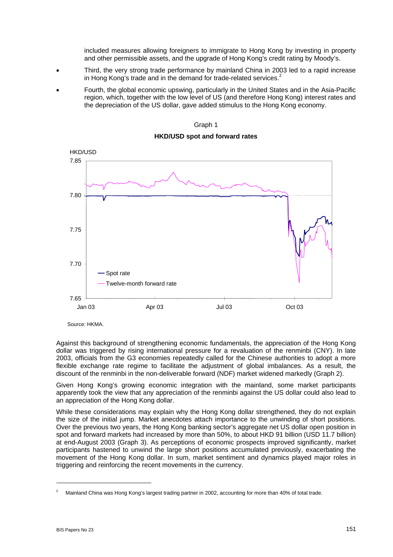included measures allowing foreigners to immigrate to Hong Kong by investing in property and other permissible assets, and the upgrade of Hong Kong's credit rating by Moody's.

- Third, the very strong trade performance by mainland China in 2003 led to a rapid increase in Hong Kong's trade and in the demand for trade-related services.<sup>2</sup>
- Fourth, the global economic upswing, particularly in the United States and in the Asia-Pacific region, which, together with the low level of US (and therefore Hong Kong) interest rates and the depreciation of the US dollar, gave added stimulus to the Hong Kong economy.





Source: HKMA.

Against this background of strengthening economic fundamentals, the appreciation of the Hong Kong dollar was triggered by rising international pressure for a revaluation of the renminbi (CNY). In late 2003, officials from the G3 economies repeatedly called for the Chinese authorities to adopt a more flexible exchange rate regime to facilitate the adjustment of global imbalances. As a result, the discount of the renminbi in the non-deliverable forward (NDF) market widened markedly (Graph 2).

Given Hong Kong's growing economic integration with the mainland, some market participants apparently took the view that any appreciation of the renminbi against the US dollar could also lead to an appreciation of the Hong Kong dollar.

While these considerations may explain why the Hong Kong dollar strengthened, they do not explain the size of the initial jump. Market anecdotes attach importance to the unwinding of short positions. Over the previous two years, the Hong Kong banking sector's aggregate net US dollar open position in spot and forward markets had increased by more than 50%, to about HKD 91 billion (USD 11.7 billion) at end-August 2003 (Graph 3). As perceptions of economic prospects improved significantly, market participants hastened to unwind the large short positions accumulated previously, exacerbating the movement of the Hong Kong dollar. In sum, market sentiment and dynamics played major roles in triggering and reinforcing the recent movements in the currency.

 $\overline{a}$ 

<sup>2</sup> Mainland China was Hong Kong's largest trading partner in 2002, accounting for more than 40% of total trade.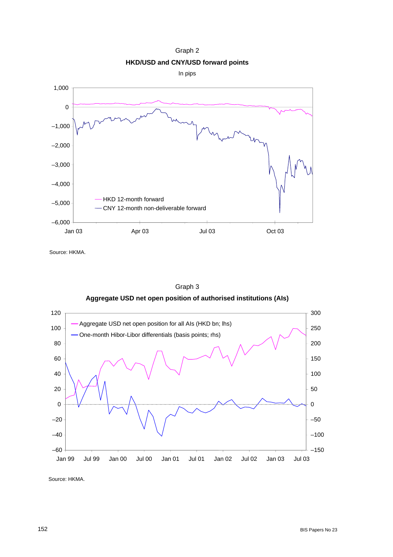Graph 2 **HKD/USD and CNY/USD forward points** 

In pips



Source: HKMA.



Graph 3

Source: HKMA.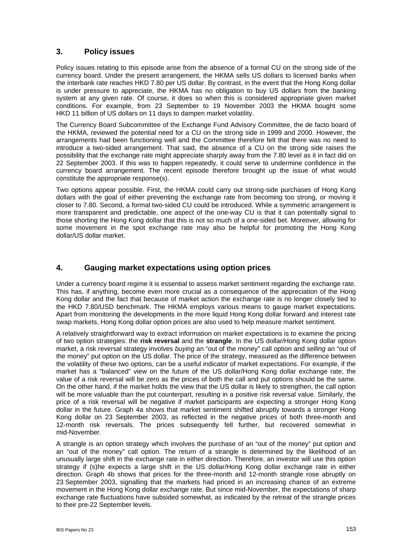### **3. Policy issues**

Policy issues relating to this episode arise from the absence of a formal CU on the strong side of the currency board. Under the present arrangement, the HKMA sells US dollars to licensed banks when the interbank rate reaches HKD 7.80 per US dollar. By contrast, in the event that the Hong Kong dollar is under pressure to appreciate, the HKMA has no obligation to buy US dollars from the banking system at any given rate. Of course, it does so when this is considered appropriate given market conditions. For example, from 23 September to 19 November 2003 the HKMA bought some HKD 11 billion of US dollars on 11 days to dampen market volatility.

The Currency Board Subcommittee of the Exchange Fund Advisory Committee, the de facto board of the HKMA, reviewed the potential need for a CU on the strong side in 1999 and 2000. However, the arrangements had been functioning well and the Committee therefore felt that there was no need to introduce a two-sided arrangement. That said, the absence of a CU on the strong side raises the possibility that the exchange rate might appreciate sharply away from the 7.80 level as it in fact did on 22 September 2003. If this was to happen repeatedly, it could serve to undermine confidence in the currency board arrangement. The recent episode therefore brought up the issue of what would constitute the appropriate response(s).

Two options appear possible. First, the HKMA could carry out strong-side purchases of Hong Kong dollars with the goal of either preventing the exchange rate from becoming too strong, or moving it closer to 7.80. Second, a formal two-sided CU could be introduced. While a symmetric arrangement is more transparent and predictable, one aspect of the one-way CU is that it can potentially signal to those shorting the Hong Kong dollar that this is not so much of a one-sided bet. Moreover, allowing for some movement in the spot exchange rate may also be helpful for promoting the Hong Kong dollar/US dollar market.

#### **4. Gauging market expectations using option prices**

Under a currency board regime it is essential to assess market sentiment regarding the exchange rate. This has, if anything, become even more crucial as a consequence of the appreciation of the Hong Kong dollar and the fact that because of market action the exchange rate is no longer closely tied to the HKD 7.80/USD benchmark. The HKMA employs various means to gauge market expectations. Apart from monitoring the developments in the more liquid Hong Kong dollar forward and interest rate swap markets, Hong Kong dollar option prices are also used to help measure market sentiment.

A relatively straightforward way to extract information on market expectations is to examine the pricing of two option strategies: the **risk reversal** and the **strangle**. In the US dollar/Hong Kong dollar option market, a risk reversal strategy involves *buying* an "out of the money" call option and *selling* an "out of the money" put option on the US dollar. The price of the strategy, measured as the difference between the volatility of these two options, can be a useful indicator of market expectations. For example, if the market has a "balanced" view on the future of the US dollar/Hong Kong dollar exchange rate, the value of a risk reversal will be zero as the prices of both the call and put options should be the same. On the other hand, if the market holds the view that the US dollar is likely to strengthen, the call option will be more valuable than the put counterpart, resulting in a positive risk reversal value. Similarly, the price of a risk reversal will be negative if market participants are expecting a stronger Hong Kong dollar in the future. Graph 4a shows that market sentiment shifted abruptly towards a stronger Hong Kong dollar on 23 September 2003, as reflected in the negative prices of both three-month and 12-month risk reversals. The prices subsequently fell further, but recovered somewhat in mid-November.

A strangle is an option strategy which involves the purchase of an "out of the money" put option and an "out of the money" call option. The return of a strangle is determined by the likelihood of an unusually large shift in the exchange rate in either direction. Therefore, an investor will use this option strategy if (s)he expects a large shift in the US dollar/Hong Kong dollar exchange rate in either direction. Graph 4b shows that prices for the three-month and 12-month strangle rose abruptly on 23 September 2003, signalling that the markets had priced in an increasing chance of an extreme movement in the Hong Kong dollar exchange rate. But since mid-November, the expectations of sharp exchange rate fluctuations have subsided somewhat, as indicated by the retreat of the strangle prices to their pre-22 September levels.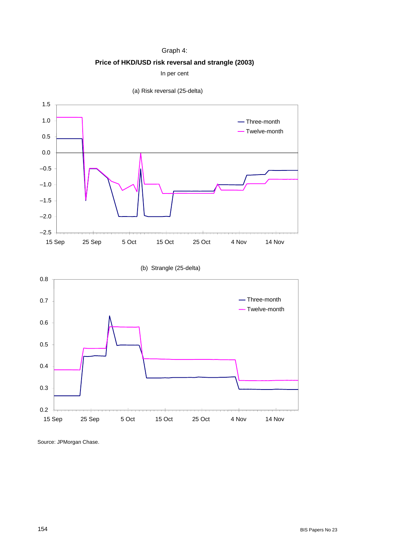#### Graph 4:

**Price of HKD/USD risk reversal and strangle (2003)** 

In per cent





Source: JPMorgan Chase.